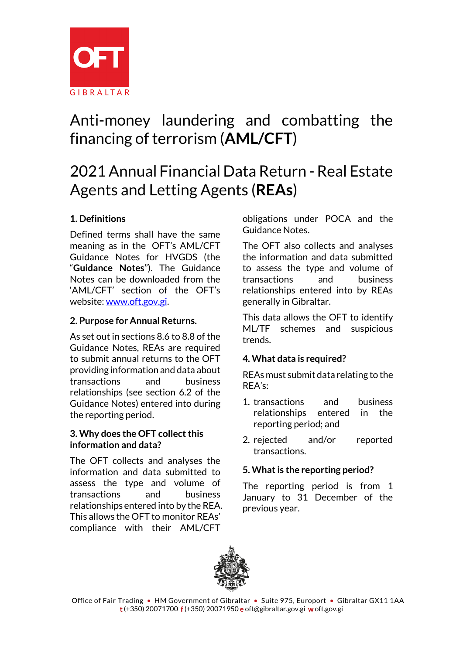

# Anti-money laundering and combatting the financing of terrorism (**AML/CFT**)

# 2021 Annual Financial Data Return - Real Estate Agents and Letting Agents (**REAs**)

# **1. Definitions**

Defined terms shall have the same meaning as in the OFT's AML/CFT Guidance Notes for HVGDS (the "**Guidance Notes**"). The Guidance Notes can be downloaded from the 'AML/CFT' section of the OFT's website[: www.oft.gov.gi.](http://www.oft.gov.gi/)

# **2. Purpose for Annual Returns.**

As set out in sections 8.6 to 8.8 of the Guidance Notes, REAs are required to submit annual returns to the OFT providing information and data about transactions and business relationships (see section 6.2 of the Guidance Notes) entered into during the reporting period.

#### **3. Why does the OFT collect this information and data?**

The OFT collects and analyses the information and data submitted to assess the type and volume of transactions and business relationships entered into by the REA. This allows the OFT to monitor REAs' compliance with their AML/CFT

obligations under POCA and the Guidance Notes.

The OFT also collects and analyses the information and data submitted to assess the type and volume of transactions and business relationships entered into by REAs generally in Gibraltar.

This data allows the OFT to identify ML/TF schemes and suspicious trends.

# **4. What data is required?**

REAs must submit data relating to the REA's:

- 1. transactions and business relationships entered in the reporting period; and
- 2. rejected and/or reported transactions.

# **5. What is the reporting period?**

The reporting period is from 1 January to 31 December of the previous year.

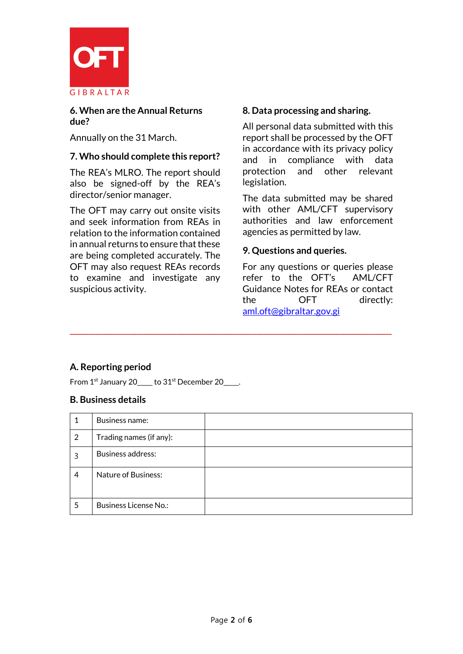

### **6. When are the Annual Returns due?**

Annually on the 31 March.

## **7. Who should complete this report?**

The REA's MLRO. The report should also be signed-off by the REA's director/senior manager.

The OFT may carry out onsite visits and seek information from REAs in relation to the information contained in annual returns to ensure that these are being completed accurately. The OFT may also request REAs records to examine and investigate any suspicious activity.

### **8. Data processing and sharing.**

All personal data submitted with this report shall be processed by the OFT in accordance with its privacy policy and in compliance with data protection and other relevant legislation.

The data submitted may be shared with other AML/CFT supervisory authorities and law enforcement agencies as permitted by law.

### **9. Questions and queries.**

For any questions or queries please refer to the OFT's AML/CFT Guidance Notes for REAs or contact the OFT directly: [aml.oft@gibraltar.gov.gi](mailto:aml.oft@gibraltar.gov.gi)

# **A. Reporting period**

From  $1<sup>st</sup>$  January 20\_\_\_\_ to  $31<sup>st</sup>$  December 20\_\_\_\_.

#### **B. Business details**

|   | Business name:               |  |
|---|------------------------------|--|
| 2 | Trading names (if any):      |  |
| 3 | <b>Business address:</b>     |  |
| 4 | <b>Nature of Business:</b>   |  |
| 5 | <b>Business License No.:</b> |  |

**\_\_\_\_\_\_\_\_\_\_\_\_\_\_\_\_\_\_\_\_\_\_\_\_\_\_\_\_\_\_\_\_\_\_\_\_\_\_\_\_\_\_\_\_\_\_\_\_\_\_\_\_\_\_\_\_\_\_\_\_\_\_\_\_\_\_\_\_\_\_\_\_\_\_\_\_\_\_\_\_\_\_\_\_\_\_\_\_\_\_\_\_\_\_\_\_\_\_\_\_\_\_\_\_\_**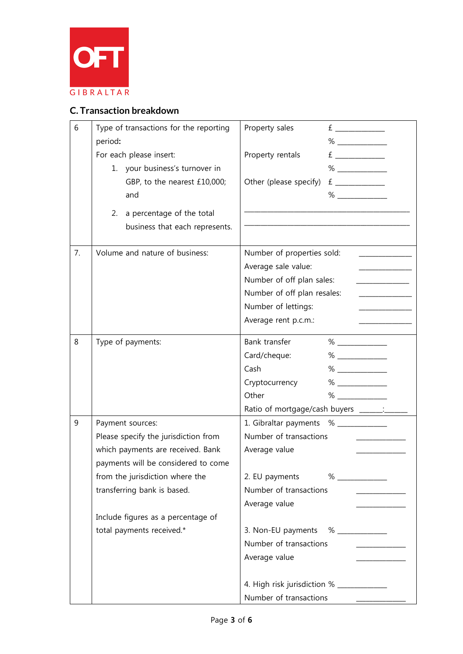

# **C. Transaction breakdown**

| 6  | Type of transactions for the reporting | Property sales<br>E                      |
|----|----------------------------------------|------------------------------------------|
|    | period:                                |                                          |
|    | For each please insert:                | Property rentals                         |
|    | 1. your business's turnover in         | %                                        |
|    | GBP, to the nearest £10,000;           | Other (please specify)                   |
|    | and                                    |                                          |
|    | a percentage of the total<br>2.        |                                          |
|    | business that each represents.         |                                          |
|    |                                        |                                          |
| 7. | Volume and nature of business:         | Number of properties sold:               |
|    |                                        | Average sale value:                      |
|    |                                        | Number of off plan sales:                |
|    |                                        | Number of off plan resales:              |
|    |                                        | Number of lettings:                      |
|    |                                        | Average rent p.c.m.:                     |
| 8  | Type of payments:                      | Bank transfer                            |
|    |                                        | Card/cheque:                             |
|    |                                        | Cash                                     |
|    |                                        | Cryptocurrency                           |
|    |                                        | Other                                    |
|    |                                        | Ratio of mortgage/cash buyers _______:   |
| 9  | Payment sources:                       | 1. Gibraltar payments % ____________     |
|    | Please specify the jurisdiction from   | Number of transactions                   |
|    | which payments are received. Bank      | Average value                            |
|    | payments will be considered to come    |                                          |
|    | from the jurisdiction where the        | 2. EU payments<br>$\%$                   |
|    | transferring bank is based.            | Number of transactions                   |
|    |                                        | Average value                            |
|    | Include figures as a percentage of     |                                          |
|    | total payments received.*              | 3. Non-EU payments % ____________        |
|    |                                        | Number of transactions                   |
|    |                                        | Average value                            |
|    |                                        | 4. High risk jurisdiction % ____________ |
|    |                                        | Number of transactions                   |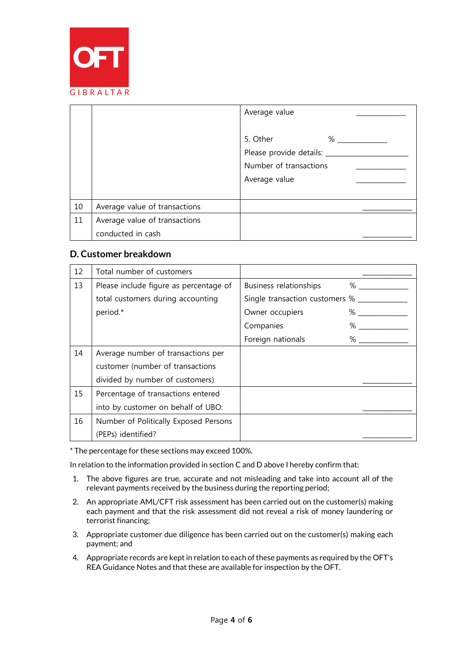

|    |                               | Average value                                                                          |
|----|-------------------------------|----------------------------------------------------------------------------------------|
|    |                               | 5. Other<br>%<br>Please provide details: __<br>Number of transactions<br>Average value |
| 10 | Average value of transactions |                                                                                        |
| 11 | Average value of transactions |                                                                                        |
|    | conducted in cash             |                                                                                        |

#### **D. Customer breakdown**

| 12 | Total number of customers              |                                       |
|----|----------------------------------------|---------------------------------------|
| 13 | Please include figure as percentage of | Business relationships<br>$\%$        |
|    | total customers during accounting      | Single transaction customers % ______ |
|    | period.*                               | Owner occupiers<br>$\%$               |
|    |                                        | $\%$<br>Companies                     |
|    |                                        | Foreign nationals<br>%                |
| 14 | Average number of transactions per     |                                       |
|    | customer (number of transactions       |                                       |
|    | divided by number of customers)        |                                       |
| 15 | Percentage of transactions entered     |                                       |
|    | into by customer on behalf of UBO:     |                                       |
| 16 | Number of Politically Exposed Persons  |                                       |
|    | (PEPs) identified?                     |                                       |

\* The percentage for these sections may exceed 100%.

In relation to the information provided in section C and D above I hereby confirm that:

- 1. The above figures are true, accurate and not misleading and take into account all of the relevant payments received by the business during the reporting period;
- 2. An appropriate AML/CFT risk assessment has been carried out on the customer(s) making each payment and that the risk assessment did not reveal a risk of money laundering or terrorist financing;
- 3. Appropriate customer due diligence has been carried out on the customer(s) making each payment; and
- 4. Appropriate records are kept in relation to each of these payments as required by the OFT's REA Guidance Notes and that these are available for inspection by the OFT.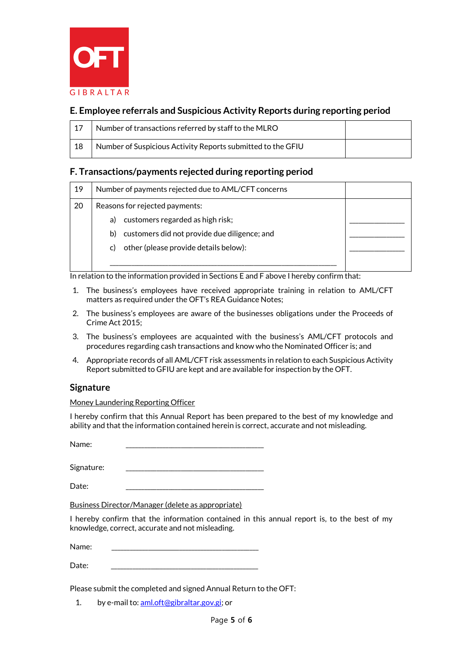

## **E. Employee referrals and Suspicious Activity Reports during reporting period**

| 17 | Number of transactions referred by staff to the MLRO        |  |
|----|-------------------------------------------------------------|--|
| 18 | Number of Suspicious Activity Reports submitted to the GFIU |  |

#### **F. Transactions/payments rejected during reporting period**

| 19 | Number of payments rejected due to AML/CFT concerns |  |
|----|-----------------------------------------------------|--|
| 20 | Reasons for rejected payments:                      |  |
|    | customers regarded as high risk;<br>a)              |  |
|    | customers did not provide due diligence; and<br>b)  |  |
|    | other (please provide details below):<br>C)         |  |
|    |                                                     |  |

In relation to the information provided in Sections E and F above I hereby confirm that:

- 1. The business's employees have received appropriate training in relation to AML/CFT matters as required under the OFT's REA Guidance Notes;
- 2. The business's employees are aware of the businesses obligations under the Proceeds of Crime Act 2015;
- 3. The business's employees are acquainted with the business's AML/CFT protocols and procedures regarding cash transactions and know who the Nominated Officer is; and
- 4. Appropriate records of all AML/CFT risk assessments in relation to each Suspicious Activity Report submitted to GFIU are kept and are available for inspection by the OFT.

#### **Signature**

Money Laundering Reporting Officer

I hereby confirm that this Annual Report has been prepared to the best of my knowledge and ability and that the information contained herein is correct, accurate and not misleading.

Name:

Signature:

Date: \_\_\_\_\_\_\_\_\_\_\_\_\_\_\_\_\_\_\_\_\_\_\_\_\_\_\_\_\_\_\_\_\_\_\_\_\_\_\_\_\_\_\_\_\_

Business Director/Manager (delete as appropriate)

I hereby confirm that the information contained in this annual report is, to the best of my knowledge, correct, accurate and not misleading.

Name:

Date: \_\_\_\_\_\_\_\_\_\_\_\_\_\_\_\_\_\_\_\_\_\_\_\_\_\_\_\_\_\_\_\_\_\_\_\_\_\_\_\_\_\_\_\_\_\_\_\_

Please submit the completed and signed Annual Return to the OFT:

1. by e-mail to[: aml.oft@gibraltar.gov.gi;](mailto:aml.oft@gibraltar.gov.gi) or